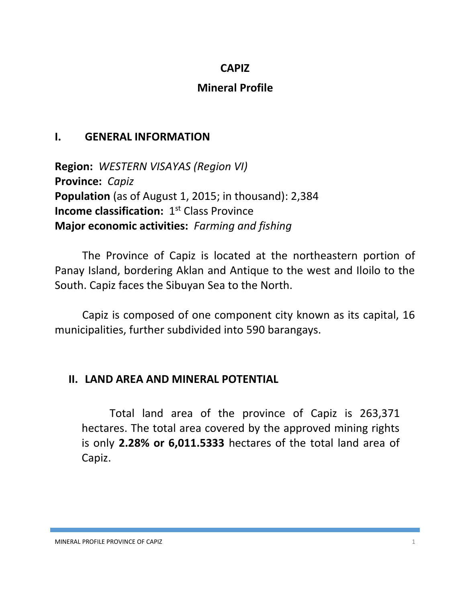## **CAPIZ**

# **Mineral Profile**

## **I. GENERAL INFORMATION**

**Region:** *WESTERN VISAYAS (Region VI)* **Province:** *Capiz* **Population** (as of August 1, 2015; in thousand): 2,384 **Income classification:** 1<sup>st</sup> Class Province **Major economic activities:** *Farming and fishing*

The Province of Capiz is located at the northeastern portion of Panay Island, bordering Aklan and Antique to the west and Iloilo to the South. Capiz faces the Sibuyan Sea to the North.

Capiz is composed of one component city known as its capital, 16 municipalities, further subdivided into 590 barangays.

# **II. LAND AREA AND MINERAL POTENTIAL**

Total land area of the province of Capiz is 263,371 hectares. The total area covered by the approved mining rights is only **2.28% or 6,011.5333** hectares of the total land area of Capiz.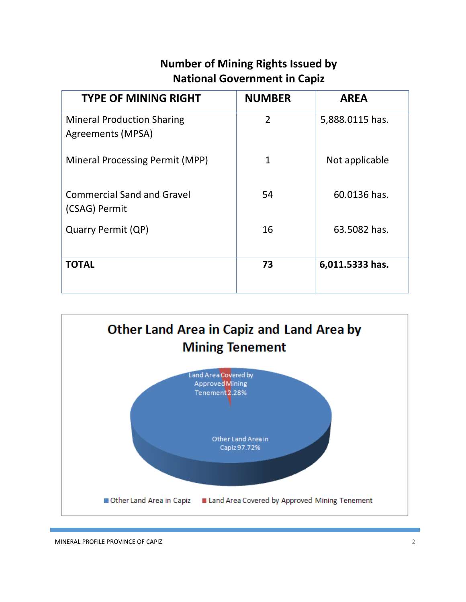# **Number of Mining Rights Issued by National Government in Capiz**

| <b>TYPE OF MINING RIGHT</b>                            | <b>NUMBER</b>  | <b>AREA</b>     |
|--------------------------------------------------------|----------------|-----------------|
| <b>Mineral Production Sharing</b><br>Agreements (MPSA) | $\overline{2}$ | 5,888.0115 has. |
| <b>Mineral Processing Permit (MPP)</b>                 | $\mathbf{1}$   | Not applicable  |
| <b>Commercial Sand and Gravel</b><br>(CSAG) Permit     | 54             | 60.0136 has.    |
| Quarry Permit (QP)                                     | 16             | 63.5082 has.    |
| <b>TOTAL</b>                                           | 73             | 6,011.5333 has. |

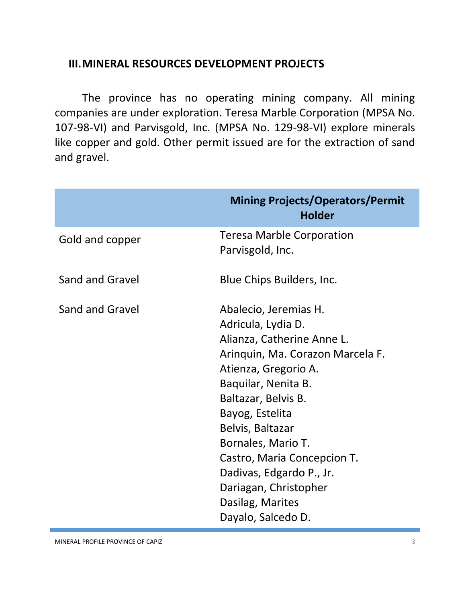#### **III.MINERAL RESOURCES DEVELOPMENT PROJECTS**

The province has no operating mining company. All mining companies are under exploration. Teresa Marble Corporation (MPSA No. 107-98-VI) and Parvisgold, Inc. (MPSA No. 129-98-VI) explore minerals like copper and gold. Other permit issued are for the extraction of sand and gravel.

|                 | <b>Mining Projects/Operators/Permit</b><br><b>Holder</b>                                                                                                                                                                                                                                                                                                                       |
|-----------------|--------------------------------------------------------------------------------------------------------------------------------------------------------------------------------------------------------------------------------------------------------------------------------------------------------------------------------------------------------------------------------|
| Gold and copper | <b>Teresa Marble Corporation</b><br>Parvisgold, Inc.                                                                                                                                                                                                                                                                                                                           |
| Sand and Gravel | Blue Chips Builders, Inc.                                                                                                                                                                                                                                                                                                                                                      |
| Sand and Gravel | Abalecio, Jeremias H.<br>Adricula, Lydia D.<br>Alianza, Catherine Anne L.<br>Arinquin, Ma. Corazon Marcela F.<br>Atienza, Gregorio A.<br>Baquilar, Nenita B.<br>Baltazar, Belvis B.<br>Bayog, Estelita<br>Belvis, Baltazar<br>Bornales, Mario T.<br>Castro, Maria Concepcion T.<br>Dadivas, Edgardo P., Jr.<br>Dariagan, Christopher<br>Dasilag, Marites<br>Dayalo, Salcedo D. |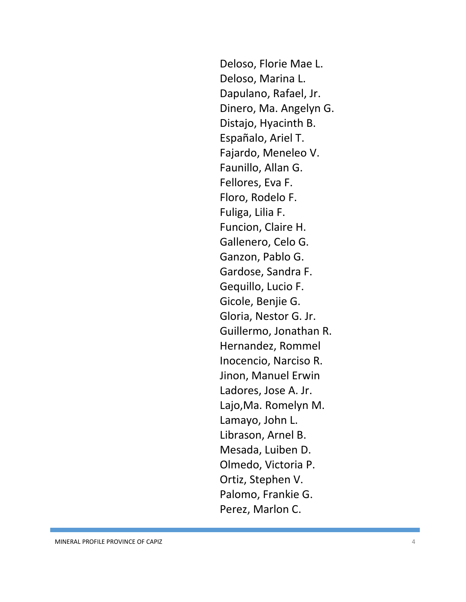Deloso, Florie Mae L. Deloso, Marina L. Dapulano, Rafael, Jr. Dinero, Ma. Angelyn G. Distajo, Hyacinth B. Españalo, Ariel T. Fajardo, Meneleo V. Faunillo, Allan G. Fellores, Eva F. Floro, Rodelo F. Fuliga, Lilia F. Funcion, Claire H. Gallenero, Celo G. Ganzon, Pablo G. Gardose, Sandra F. Gequillo, Lucio F. Gicole, Benjie G. Gloria, Nestor G. Jr. Guillermo, Jonathan R. Hernandez, Rommel Inocencio, Narciso R. Jinon, Manuel Erwin Ladores, Jose A. Jr. Lajo,Ma. Romelyn M. Lamayo, John L. Librason, Arnel B. Mesada, Luiben D. Olmedo, Victoria P. Ortiz, Stephen V. Palomo, Frankie G. Perez, Marlon C.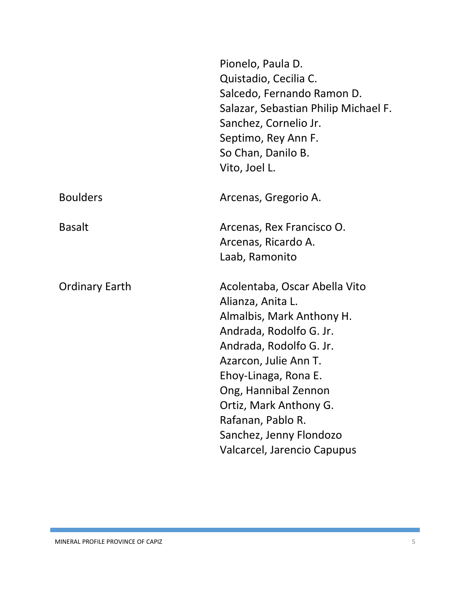|                       | Pionelo, Paula D.<br>Quistadio, Cecilia C.<br>Salcedo, Fernando Ramon D.<br>Salazar, Sebastian Philip Michael F.<br>Sanchez, Cornelio Jr.<br>Septimo, Rey Ann F.<br>So Chan, Danilo B.<br>Vito, Joel L.                                                                                                                 |
|-----------------------|-------------------------------------------------------------------------------------------------------------------------------------------------------------------------------------------------------------------------------------------------------------------------------------------------------------------------|
| <b>Boulders</b>       | Arcenas, Gregorio A.                                                                                                                                                                                                                                                                                                    |
| <b>Basalt</b>         | Arcenas, Rex Francisco O.<br>Arcenas, Ricardo A.<br>Laab, Ramonito                                                                                                                                                                                                                                                      |
| <b>Ordinary Earth</b> | Acolentaba, Oscar Abella Vito<br>Alianza, Anita L.<br>Almalbis, Mark Anthony H.<br>Andrada, Rodolfo G. Jr.<br>Andrada, Rodolfo G. Jr.<br>Azarcon, Julie Ann T.<br>Ehoy-Linaga, Rona E.<br>Ong, Hannibal Zennon<br>Ortiz, Mark Anthony G.<br>Rafanan, Pablo R.<br>Sanchez, Jenny Flondozo<br>Valcarcel, Jarencio Capupus |

f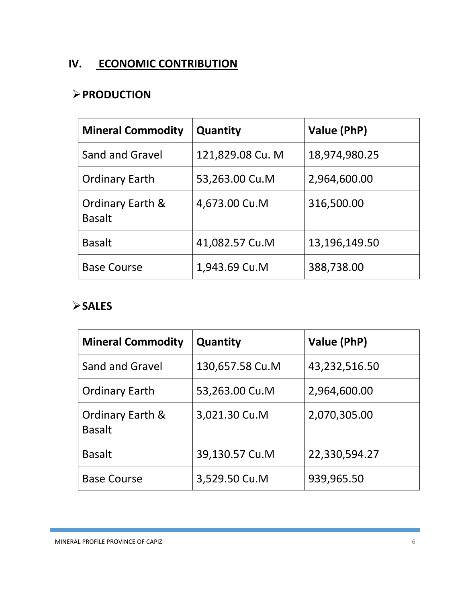# **IV. ECONOMIC CONTRIBUTION**

## **PRODUCTION**

| <b>Mineral Commodity</b>          | <b>Quantity</b>  | Value (PhP)   |
|-----------------------------------|------------------|---------------|
| Sand and Gravel                   | 121,829.08 Cu. M | 18,974,980.25 |
| <b>Ordinary Earth</b>             | 53,263.00 Cu.M   | 2,964,600.00  |
| Ordinary Earth &<br><b>Basalt</b> | 4,673.00 Cu.M    | 316,500.00    |
| <b>Basalt</b>                     | 41,082.57 Cu.M   | 13,196,149.50 |
| <b>Base Course</b>                | 1,943.69 Cu.M    | 388,738.00    |

### **SALES**

| <b>Mineral Commodity</b>          | Quantity        | Value (PhP)   |
|-----------------------------------|-----------------|---------------|
| Sand and Gravel                   | 130,657.58 Cu.M | 43,232,516.50 |
| <b>Ordinary Earth</b>             | 53,263.00 Cu.M  | 2,964,600.00  |
| Ordinary Earth &<br><b>Basalt</b> | 3,021.30 Cu.M   | 2,070,305.00  |
| <b>Basalt</b>                     | 39,130.57 Cu.M  | 22,330,594.27 |
| <b>Base Course</b>                | 3,529.50 Cu.M   | 939,965.50    |